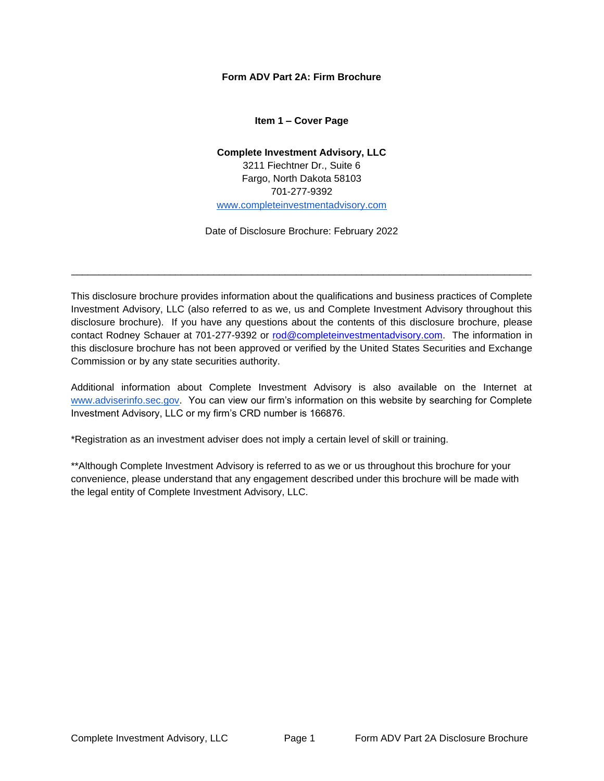### <span id="page-0-0"></span>**Form ADV Part 2A: Firm Brochure**

#### **Item 1 – Cover Page**

# **Complete Investment Advisory, LLC** 3211 Fiechtner Dr., Suite 6 Fargo, North Dakota 58103 701-277-9392 [www.completeinvestmentadvisory.com](http://www.completeinvestmentadvisory.com/)

Date of Disclosure Brochure: February 2022

\_\_\_\_\_\_\_\_\_\_\_\_\_\_\_\_\_\_\_\_\_\_\_\_\_\_\_\_\_\_\_\_\_\_\_\_\_\_\_\_\_\_\_\_\_\_\_\_\_\_\_\_\_\_\_\_\_\_\_\_\_\_\_\_\_\_\_\_\_\_\_\_\_\_\_\_\_\_\_\_\_\_\_\_

This disclosure brochure provides information about the qualifications and business practices of Complete Investment Advisory, LLC (also referred to as we, us and Complete Investment Advisory throughout this disclosure brochure). If you have any questions about the contents of this disclosure brochure, please contact Rodney Schauer at 701-277-9392 or [rod@completeinvestmentadvisory.com.](mailto:rod@completeinvestmentadvisory.com) The information in this disclosure brochure has not been approved or verified by the United States Securities and Exchange Commission or by any state securities authority.

Additional information about Complete Investment Advisory is also available on the Internet a[t](http://www.adviserinfo.sec.gov/) [www.adviserinfo.sec.gov.](http://www.adviserinfo.sec.gov/) You can view our firm's information on this website by searching for Complete Investment Advisory, LLC or my firm's CRD number is 166876.

\*Registration as an investment adviser does not imply a certain level of skill or training.

\*\*Although Complete Investment Advisory is referred to as we or us throughout this brochure for your convenience, please understand that any engagement described under this brochure will be made with the legal entity of Complete Investment Advisory, LLC.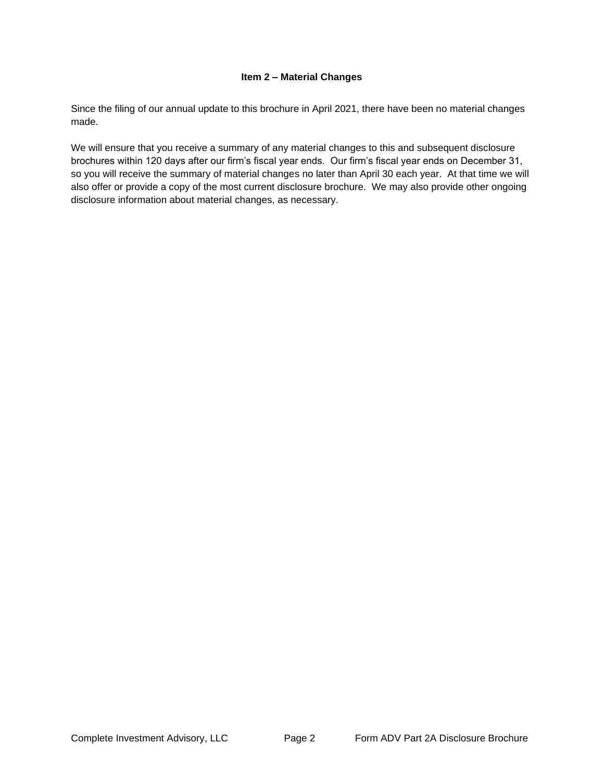### **Item 2 – Material Changes**

<span id="page-1-0"></span>Since the filing of our annual update to this brochure in April 2021, there have been no material changes made.

We will ensure that you receive a summary of any material changes to this and subsequent disclosure brochures within 120 days after our firm's fiscal year ends. Our firm's fiscal year ends on December 31, so you will receive the summary of material changes no later than April 30 each year. At that time we will also offer or provide a copy of the most current disclosure brochure. We may also provide other ongoing disclosure information about material changes, as necessary.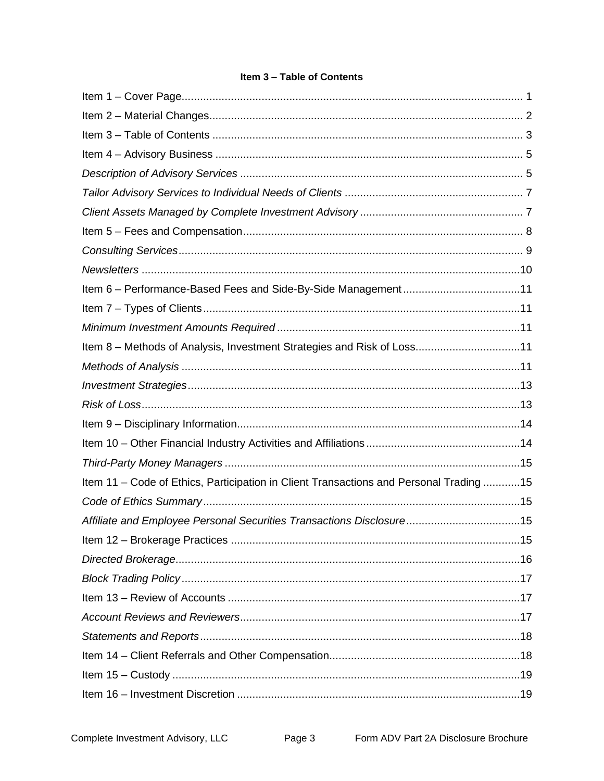# Item 3 - Table of Contents

<span id="page-2-0"></span>

| Item 8 - Methods of Analysis, Investment Strategies and Risk of Loss11                 |  |
|----------------------------------------------------------------------------------------|--|
|                                                                                        |  |
|                                                                                        |  |
|                                                                                        |  |
|                                                                                        |  |
|                                                                                        |  |
|                                                                                        |  |
| Item 11 - Code of Ethics, Participation in Client Transactions and Personal Trading 15 |  |
|                                                                                        |  |
| Affiliate and Employee Personal Securities Transactions Disclosure15                   |  |
|                                                                                        |  |
|                                                                                        |  |
|                                                                                        |  |
|                                                                                        |  |
|                                                                                        |  |
|                                                                                        |  |
|                                                                                        |  |
|                                                                                        |  |
|                                                                                        |  |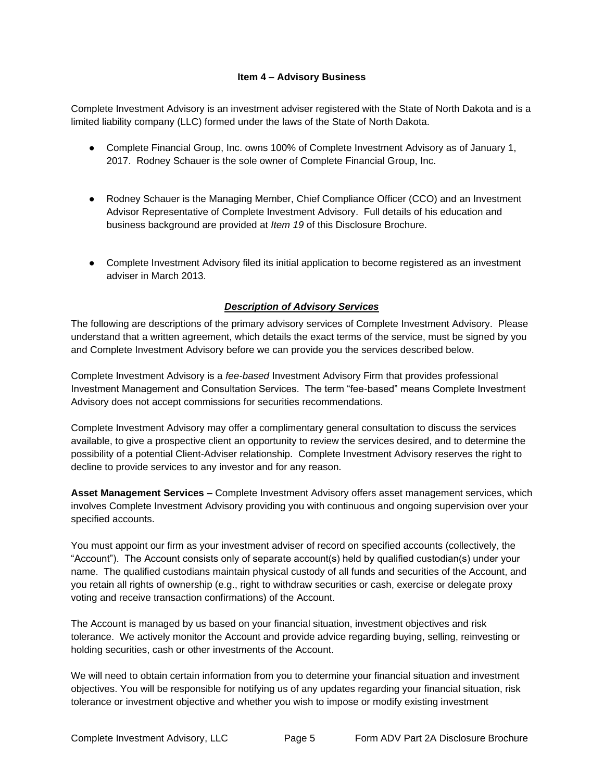### **Item 4 – Advisory Business**

<span id="page-4-0"></span>Complete Investment Advisory is an investment adviser registered with the State of North Dakota and is a limited liability company (LLC) formed under the laws of the State of North Dakota.

- Complete Financial Group, Inc. owns 100% of Complete Investment Advisory as of January 1, 2017. Rodney Schauer is the sole owner of Complete Financial Group, Inc.
- Rodney Schauer is the Managing Member, Chief Compliance Officer (CCO) and an Investment Advisor Representative of Complete Investment Advisory. Full details of his education and business background are provided at *Item 19* of this Disclosure Brochure.
- Complete Investment Advisory filed its initial application to become registered as an investment adviser in March 2013.

## *Description of Advisory Services*

<span id="page-4-1"></span>The following are descriptions of the primary advisory services of Complete Investment Advisory. Please understand that a written agreement, which details the exact terms of the service, must be signed by you and Complete Investment Advisory before we can provide you the services described below.

Complete Investment Advisory is a *fee-based* Investment Advisory Firm that provides professional Investment Management and Consultation Services. The term "fee-based" means Complete Investment Advisory does not accept commissions for securities recommendations.

Complete Investment Advisory may offer a complimentary general consultation to discuss the services available, to give a prospective client an opportunity to review the services desired, and to determine the possibility of a potential Client-Adviser relationship. Complete Investment Advisory reserves the right to decline to provide services to any investor and for any reason.

**Asset Management Services –** Complete Investment Advisory offers asset management services, which involves Complete Investment Advisory providing you with continuous and ongoing supervision over your specified accounts.

You must appoint our firm as your investment adviser of record on specified accounts (collectively, the "Account"). The Account consists only of separate account(s) held by qualified custodian(s) under your name. The qualified custodians maintain physical custody of all funds and securities of the Account, and you retain all rights of ownership (e.g., right to withdraw securities or cash, exercise or delegate proxy voting and receive transaction confirmations) of the Account.

The Account is managed by us based on your financial situation, investment objectives and risk tolerance. We actively monitor the Account and provide advice regarding buying, selling, reinvesting or holding securities, cash or other investments of the Account.

We will need to obtain certain information from you to determine your financial situation and investment objectives. You will be responsible for notifying us of any updates regarding your financial situation, risk tolerance or investment objective and whether you wish to impose or modify existing investment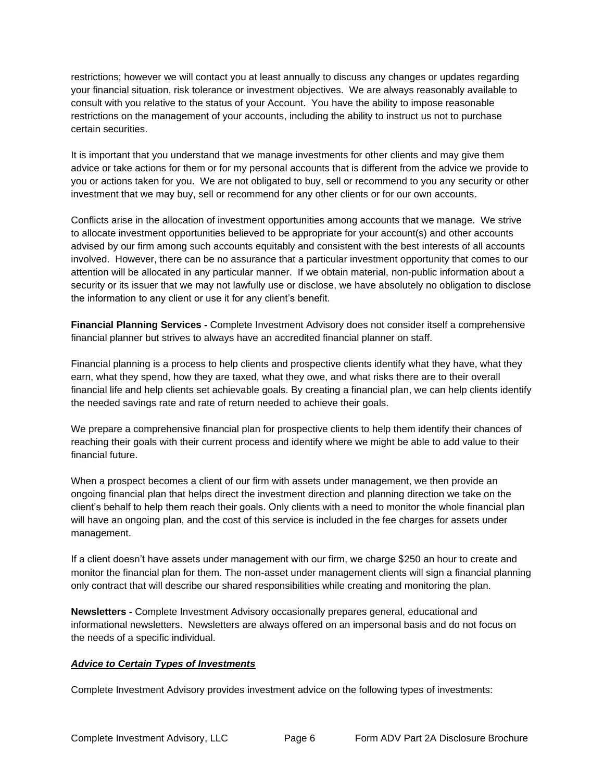restrictions; however we will contact you at least annually to discuss any changes or updates regarding your financial situation, risk tolerance or investment objectives. We are always reasonably available to consult with you relative to the status of your Account. You have the ability to impose reasonable restrictions on the management of your accounts, including the ability to instruct us not to purchase certain securities.

It is important that you understand that we manage investments for other clients and may give them advice or take actions for them or for my personal accounts that is different from the advice we provide to you or actions taken for you. We are not obligated to buy, sell or recommend to you any security or other investment that we may buy, sell or recommend for any other clients or for our own accounts.

Conflicts arise in the allocation of investment opportunities among accounts that we manage. We strive to allocate investment opportunities believed to be appropriate for your account(s) and other accounts advised by our firm among such accounts equitably and consistent with the best interests of all accounts involved. However, there can be no assurance that a particular investment opportunity that comes to our attention will be allocated in any particular manner. If we obtain material, non-public information about a security or its issuer that we may not lawfully use or disclose, we have absolutely no obligation to disclose the information to any client or use it for any client's benefit.

**Financial Planning Services -** Complete Investment Advisory does not consider itself a comprehensive financial planner but strives to always have an accredited financial planner on staff.

Financial planning is a process to help clients and prospective clients identify what they have, what they earn, what they spend, how they are taxed, what they owe, and what risks there are to their overall financial life and help clients set achievable goals. By creating a financial plan, we can help clients identify the needed savings rate and rate of return needed to achieve their goals.

We prepare a comprehensive financial plan for prospective clients to help them identify their chances of reaching their goals with their current process and identify where we might be able to add value to their financial future.

When a prospect becomes a client of our firm with assets under management, we then provide an ongoing financial plan that helps direct the investment direction and planning direction we take on the client's behalf to help them reach their goals. Only clients with a need to monitor the whole financial plan will have an ongoing plan, and the cost of this service is included in the fee charges for assets under management.

If a client doesn't have assets under management with our firm, we charge \$250 an hour to create and monitor the financial plan for them. The non-asset under management clients will sign a financial planning only contract that will describe our shared responsibilities while creating and monitoring the plan.

**Newsletters -** Complete Investment Advisory occasionally prepares general, educational and informational newsletters. Newsletters are always offered on an impersonal basis and do not focus on the needs of a specific individual.

## *Advice to Certain Types of Investments*

Complete Investment Advisory provides investment advice on the following types of investments: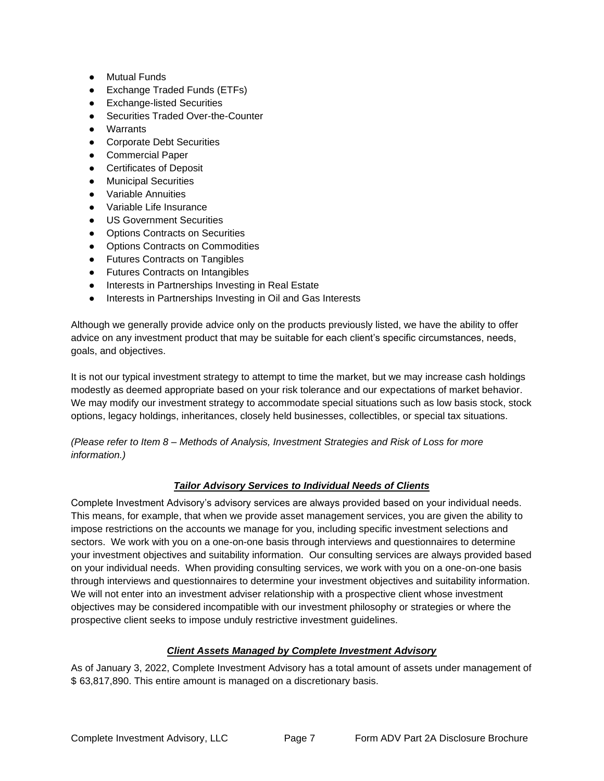- Mutual Funds
- Exchange Traded Funds (ETFs)
- Exchange-listed Securities
- Securities Traded Over-the-Counter
- Warrants
- Corporate Debt Securities
- Commercial Paper
- **•** Certificates of Deposit
- Municipal Securities
- Variable Annuities
- Variable Life Insurance
- US Government Securities
- Options Contracts on Securities
- Options Contracts on Commodities
- Futures Contracts on Tangibles
- Futures Contracts on Intangibles
- Interests in Partnerships Investing in Real Estate
- Interests in Partnerships Investing in Oil and Gas Interests

Although we generally provide advice only on the products previously listed, we have the ability to offer advice on any investment product that may be suitable for each client's specific circumstances, needs, goals, and objectives.

It is not our typical investment strategy to attempt to time the market, but we may increase cash holdings modestly as deemed appropriate based on your risk tolerance and our expectations of market behavior. We may modify our investment strategy to accommodate special situations such as low basis stock, stock options, legacy holdings, inheritances, closely held businesses, collectibles, or special tax situations.

<span id="page-6-0"></span>*(Please refer to Item 8 – Methods of Analysis, Investment Strategies and Risk of Loss for more information.)*

# *Tailor Advisory Services to Individual Needs of Clients*

Complete Investment Advisory's advisory services are always provided based on your individual needs. This means, for example, that when we provide asset management services, you are given the ability to impose restrictions on the accounts we manage for you, including specific investment selections and sectors. We work with you on a one-on-one basis through interviews and questionnaires to determine your investment objectives and suitability information. Our consulting services are always provided based on your individual needs. When providing consulting services, we work with you on a one-on-one basis through interviews and questionnaires to determine your investment objectives and suitability information. We will not enter into an investment adviser relationship with a prospective client whose investment objectives may be considered incompatible with our investment philosophy or strategies or where the prospective client seeks to impose unduly restrictive investment guidelines.

## *Client Assets Managed by Complete Investment Advisory*

<span id="page-6-1"></span>As of January 3, 2022, Complete Investment Advisory has a total amount of assets under management of \$ 63,817,890. This entire amount is managed on a discretionary basis.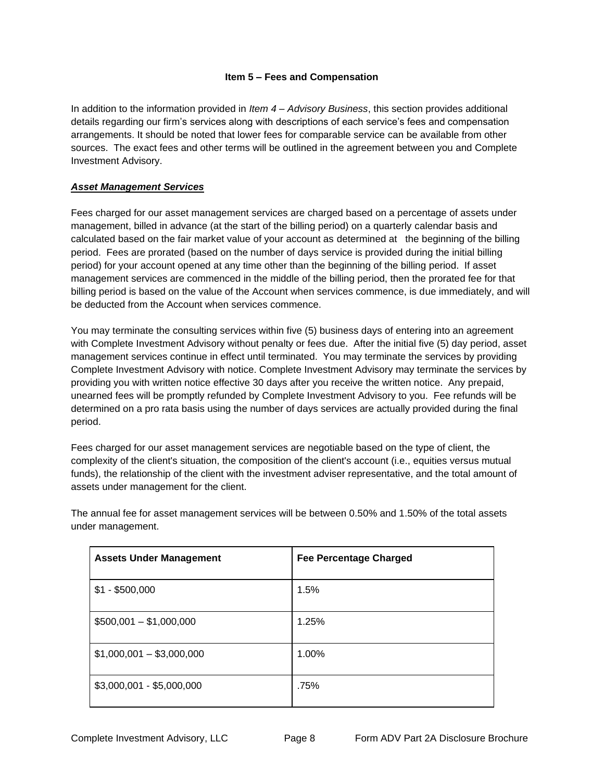### **Item 5 – Fees and Compensation**

<span id="page-7-0"></span>In addition to the information provided in *Item 4 – Advisory Business*, this section provides additional details regarding our firm's services along with descriptions of each service's fees and compensation arrangements. It should be noted that lower fees for comparable service can be available from other sources. The exact fees and other terms will be outlined in the agreement between you and Complete Investment Advisory.

### *Asset Management Services*

Fees charged for our asset management services are charged based on a percentage of assets under management, billed in advance (at the start of the billing period) on a quarterly calendar basis and calculated based on the fair market value of your account as determined at the beginning of the billing period. Fees are prorated (based on the number of days service is provided during the initial billing period) for your account opened at any time other than the beginning of the billing period. If asset management services are commenced in the middle of the billing period, then the prorated fee for that billing period is based on the value of the Account when services commence, is due immediately, and will be deducted from the Account when services commence.

You may terminate the consulting services within five (5) business days of entering into an agreement with Complete Investment Advisory without penalty or fees due. After the initial five (5) day period, asset management services continue in effect until terminated. You may terminate the services by providing Complete Investment Advisory with notice. Complete Investment Advisory may terminate the services by providing you with written notice effective 30 days after you receive the written notice. Any prepaid, unearned fees will be promptly refunded by Complete Investment Advisory to you. Fee refunds will be determined on a pro rata basis using the number of days services are actually provided during the final period.

Fees charged for our asset management services are negotiable based on the type of client, the complexity of the client's situation, the composition of the client's account (i.e., equities versus mutual funds), the relationship of the client with the investment adviser representative, and the total amount of assets under management for the client.

| <b>Assets Under Management</b> | <b>Fee Percentage Charged</b> |
|--------------------------------|-------------------------------|
| $$1 - $500,000$                | 1.5%                          |
| $$500,001 - $1,000,000$        | 1.25%                         |
| $$1,000,001 - $3,000,000$      | 1.00%                         |
| $$3,000,001 - $5,000,000$      | .75%                          |

The annual fee for asset management services will be between 0.50% and 1.50% of the total assets under management.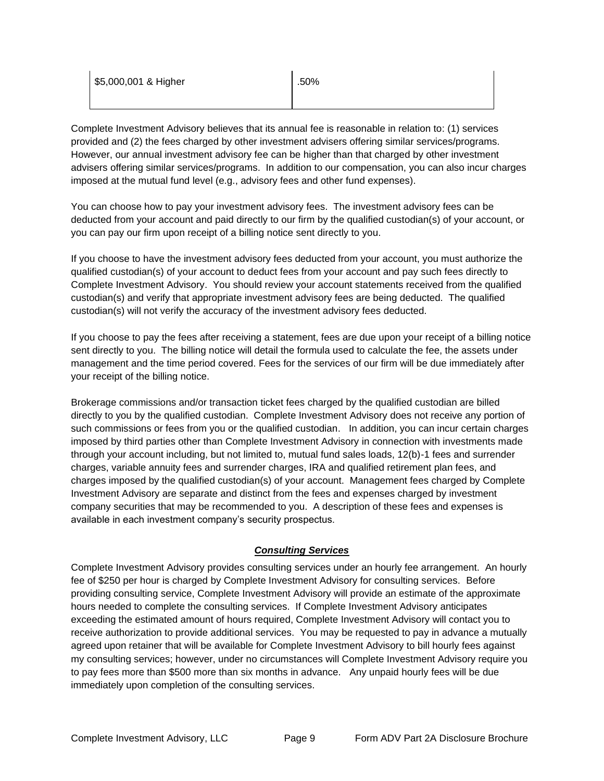| \$5,000,001 & Higher | .50% |
|----------------------|------|
|                      |      |

Complete Investment Advisory believes that its annual fee is reasonable in relation to: (1) services provided and (2) the fees charged by other investment advisers offering similar services/programs. However, our annual investment advisory fee can be higher than that charged by other investment advisers offering similar services/programs. In addition to our compensation, you can also incur charges imposed at the mutual fund level (e.g., advisory fees and other fund expenses).

You can choose how to pay your investment advisory fees. The investment advisory fees can be deducted from your account and paid directly to our firm by the qualified custodian(s) of your account, or you can pay our firm upon receipt of a billing notice sent directly to you.

If you choose to have the investment advisory fees deducted from your account, you must authorize the qualified custodian(s) of your account to deduct fees from your account and pay such fees directly to Complete Investment Advisory. You should review your account statements received from the qualified custodian(s) and verify that appropriate investment advisory fees are being deducted. The qualified custodian(s) will not verify the accuracy of the investment advisory fees deducted.

If you choose to pay the fees after receiving a statement, fees are due upon your receipt of a billing notice sent directly to you. The billing notice will detail the formula used to calculate the fee, the assets under management and the time period covered. Fees for the services of our firm will be due immediately after your receipt of the billing notice.

Brokerage commissions and/or transaction ticket fees charged by the qualified custodian are billed directly to you by the qualified custodian. Complete Investment Advisory does not receive any portion of such commissions or fees from you or the qualified custodian. In addition, you can incur certain charges imposed by third parties other than Complete Investment Advisory in connection with investments made through your account including, but not limited to, mutual fund sales loads, 12(b)-1 fees and surrender charges, variable annuity fees and surrender charges, IRA and qualified retirement plan fees, and charges imposed by the qualified custodian(s) of your account. Management fees charged by Complete Investment Advisory are separate and distinct from the fees and expenses charged by investment company securities that may be recommended to you. A description of these fees and expenses is available in each investment company's security prospectus.

# *Consulting Services*

<span id="page-8-0"></span>Complete Investment Advisory provides consulting services under an hourly fee arrangement. An hourly fee of \$250 per hour is charged by Complete Investment Advisory for consulting services. Before providing consulting service, Complete Investment Advisory will provide an estimate of the approximate hours needed to complete the consulting services. If Complete Investment Advisory anticipates exceeding the estimated amount of hours required, Complete Investment Advisory will contact you to receive authorization to provide additional services. You may be requested to pay in advance a mutually agreed upon retainer that will be available for Complete Investment Advisory to bill hourly fees against my consulting services; however, under no circumstances will Complete Investment Advisory require you to pay fees more than \$500 more than six months in advance. Any unpaid hourly fees will be due immediately upon completion of the consulting services.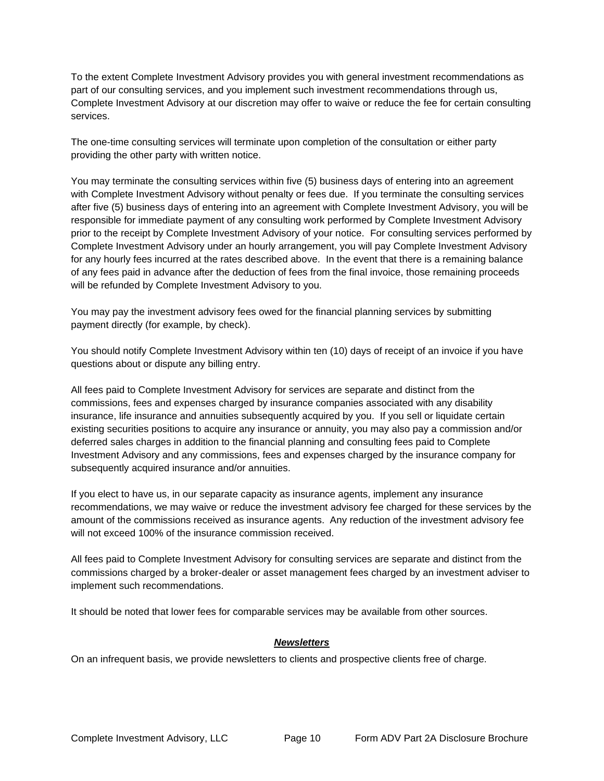To the extent Complete Investment Advisory provides you with general investment recommendations as part of our consulting services, and you implement such investment recommendations through us, Complete Investment Advisory at our discretion may offer to waive or reduce the fee for certain consulting services.

The one-time consulting services will terminate upon completion of the consultation or either party providing the other party with written notice.

You may terminate the consulting services within five (5) business days of entering into an agreement with Complete Investment Advisory without penalty or fees due. If you terminate the consulting services after five (5) business days of entering into an agreement with Complete Investment Advisory, you will be responsible for immediate payment of any consulting work performed by Complete Investment Advisory prior to the receipt by Complete Investment Advisory of your notice. For consulting services performed by Complete Investment Advisory under an hourly arrangement, you will pay Complete Investment Advisory for any hourly fees incurred at the rates described above. In the event that there is a remaining balance of any fees paid in advance after the deduction of fees from the final invoice, those remaining proceeds will be refunded by Complete Investment Advisory to you.

You may pay the investment advisory fees owed for the financial planning services by submitting payment directly (for example, by check).

You should notify Complete Investment Advisory within ten (10) days of receipt of an invoice if you have questions about or dispute any billing entry.

All fees paid to Complete Investment Advisory for services are separate and distinct from the commissions, fees and expenses charged by insurance companies associated with any disability insurance, life insurance and annuities subsequently acquired by you. If you sell or liquidate certain existing securities positions to acquire any insurance or annuity, you may also pay a commission and/or deferred sales charges in addition to the financial planning and consulting fees paid to Complete Investment Advisory and any commissions, fees and expenses charged by the insurance company for subsequently acquired insurance and/or annuities.

If you elect to have us, in our separate capacity as insurance agents, implement any insurance recommendations, we may waive or reduce the investment advisory fee charged for these services by the amount of the commissions received as insurance agents. Any reduction of the investment advisory fee will not exceed 100% of the insurance commission received.

All fees paid to Complete Investment Advisory for consulting services are separate and distinct from the commissions charged by a broker-dealer or asset management fees charged by an investment adviser to implement such recommendations.

<span id="page-9-0"></span>It should be noted that lower fees for comparable services may be available from other sources.

#### *Newsletters*

On an infrequent basis, we provide newsletters to clients and prospective clients free of charge.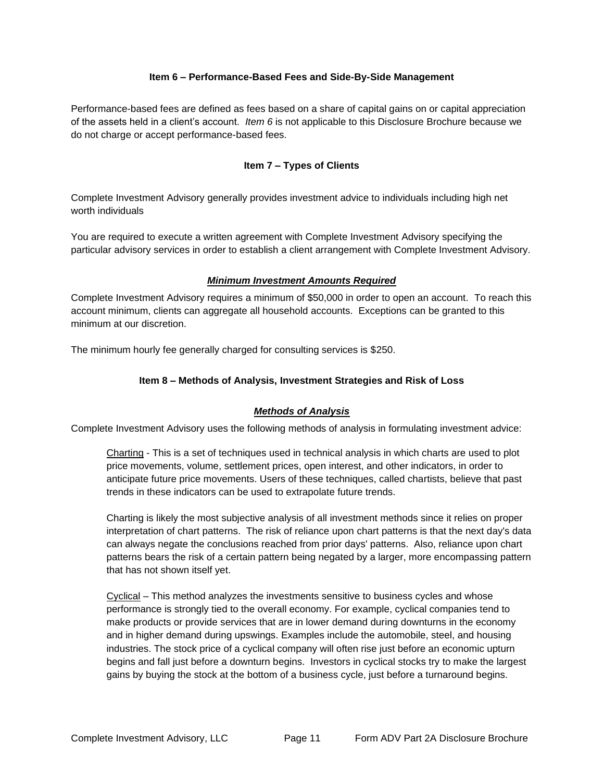### **Item 6 – Performance-Based Fees and Side-By-Side Management**

<span id="page-10-1"></span><span id="page-10-0"></span>Performance-based fees are defined as fees based on a share of capital gains on or capital appreciation of the assets held in a client's account. *Item 6* is not applicable to this Disclosure Brochure because we do not charge or accept performance-based fees.

## **Item 7 – Types of Clients**

Complete Investment Advisory generally provides investment advice to individuals including high net worth individuals

<span id="page-10-2"></span>You are required to execute a written agreement with Complete Investment Advisory specifying the particular advisory services in order to establish a client arrangement with Complete Investment Advisory.

### *Minimum Investment Amounts Required*

Complete Investment Advisory requires a minimum of \$50,000 in order to open an account. To reach this account minimum, clients can aggregate all household accounts. Exceptions can be granted to this minimum at our discretion.

<span id="page-10-3"></span>The minimum hourly fee generally charged for consulting services is \$250.

## **Item 8 – Methods of Analysis, Investment Strategies and Risk of Loss**

## *Methods of Analysis*

<span id="page-10-4"></span>Complete Investment Advisory uses the following methods of analysis in formulating investment advice:

Charting - This is a set of techniques used in technical analysis in which charts are used to plot price movements, volume, settlement prices, open interest, and other indicators, in order to anticipate future price movements. Users of these techniques, called chartists, believe that past trends in these indicators can be used to extrapolate future trends.

Charting is likely the most subjective analysis of all investment methods since it relies on proper interpretation of chart patterns. The risk of reliance upon chart patterns is that the next day's data can always negate the conclusions reached from prior days' patterns. Also, reliance upon chart patterns bears the risk of a certain pattern being negated by a larger, more encompassing pattern that has not shown itself yet.

Cyclical – This method analyzes the investments sensitive to business cycles and whose performance is strongly tied to the overall economy. For example, cyclical companies tend to make products or provide services that are in lower demand during downturns in the economy and in higher demand during upswings. Examples include the automobile, steel, and housing industries. The stock price of a cyclical company will often rise just before an economic upturn begins and fall just before a downturn begins. Investors in cyclical stocks try to make the largest gains by buying the stock at the bottom of a business cycle, just before a turnaround begins.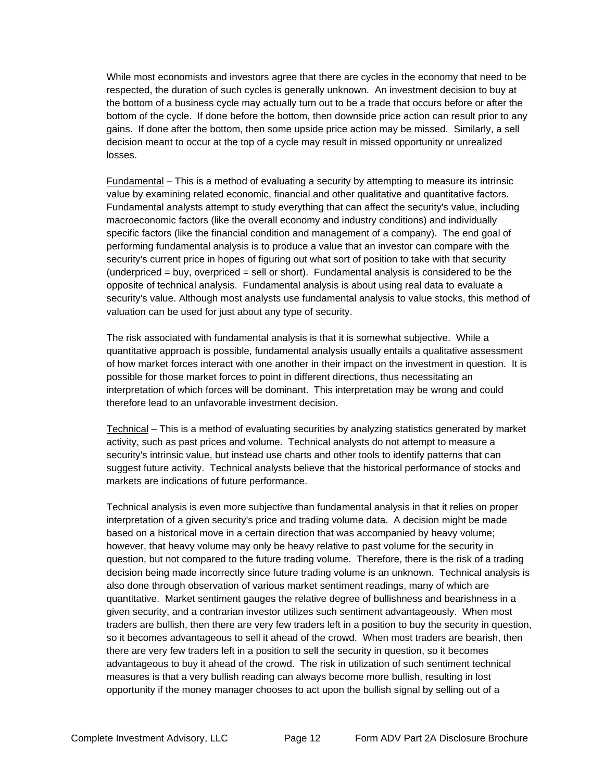While most economists and investors agree that there are cycles in the economy that need to be respected, the duration of such cycles is generally unknown. An investment decision to buy at the bottom of a business cycle may actually turn out to be a trade that occurs before or after the bottom of the cycle. If done before the bottom, then downside price action can result prior to any gains. If done after the bottom, then some upside price action may be missed. Similarly, a sell decision meant to occur at the top of a cycle may result in missed opportunity or unrealized losses.

Fundamental – This is a method of evaluating a security by attempting to measure its intrinsic value by examining related economic, financial and other qualitative and quantitative factors. Fundamental analysts attempt to study everything that can affect the security's value, including macroeconomic factors (like the overall economy and industry conditions) and individually specific factors (like the financial condition and management of a company). The end goal of performing fundamental analysis is to produce a value that an investor can compare with the security's current price in hopes of figuring out what sort of position to take with that security  $(underpriced = buy, overpriced = sell or short).$  Fundamental analysis is considered to be the opposite of technical analysis. Fundamental analysis is about using real data to evaluate a security's value. Although most analysts use fundamental analysis to value stocks, this method of valuation can be used for just about any type of security.

The risk associated with fundamental analysis is that it is somewhat subjective. While a quantitative approach is possible, fundamental analysis usually entails a qualitative assessment of how market forces interact with one another in their impact on the investment in question. It is possible for those market forces to point in different directions, thus necessitating an interpretation of which forces will be dominant. This interpretation may be wrong and could therefore lead to an unfavorable investment decision.

Technical – This is a method of evaluating securities by analyzing statistics generated by market activity, such as past prices and volume. Technical analysts do not attempt to measure a security's intrinsic value, but instead use charts and other tools to identify patterns that can suggest future activity. Technical analysts believe that the historical performance of stocks and markets are indications of future performance.

Technical analysis is even more subjective than fundamental analysis in that it relies on proper interpretation of a given security's price and trading volume data. A decision might be made based on a historical move in a certain direction that was accompanied by heavy volume; however, that heavy volume may only be heavy relative to past volume for the security in question, but not compared to the future trading volume. Therefore, there is the risk of a trading decision being made incorrectly since future trading volume is an unknown. Technical analysis is also done through observation of various market sentiment readings, many of which are quantitative. Market sentiment gauges the relative degree of bullishness and bearishness in a given security, and a contrarian investor utilizes such sentiment advantageously. When most traders are bullish, then there are very few traders left in a position to buy the security in question, so it becomes advantageous to sell it ahead of the crowd. When most traders are bearish, then there are very few traders left in a position to sell the security in question, so it becomes advantageous to buy it ahead of the crowd. The risk in utilization of such sentiment technical measures is that a very bullish reading can always become more bullish, resulting in lost opportunity if the money manager chooses to act upon the bullish signal by selling out of a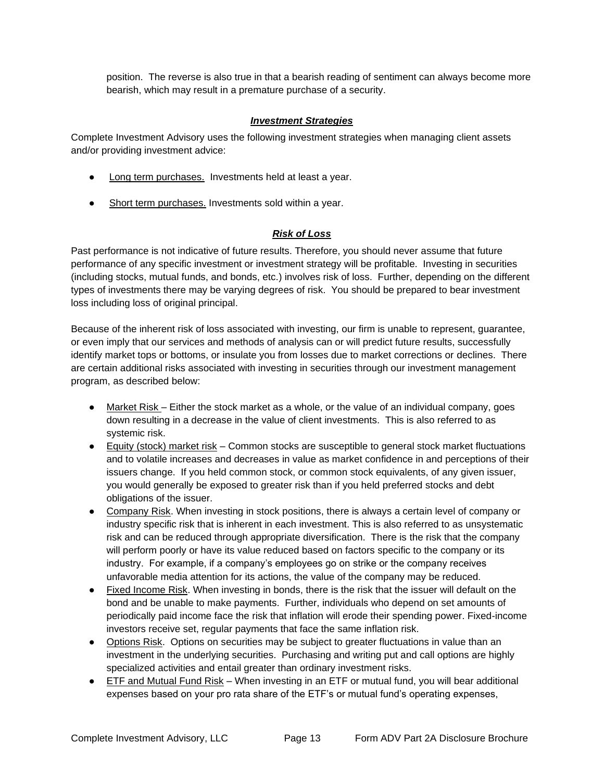position. The reverse is also true in that a bearish reading of sentiment can always become more bearish, which may result in a premature purchase of a security.

### *Investment Strategies*

<span id="page-12-0"></span>Complete Investment Advisory uses the following investment strategies when managing client assets and/or providing investment advice:

- Long term purchases. Investments held at least a year.
- <span id="page-12-1"></span>● Short term purchases. Investments sold within a year.

## *Risk of Loss*

Past performance is not indicative of future results. Therefore, you should never assume that future performance of any specific investment or investment strategy will be profitable. Investing in securities (including stocks, mutual funds, and bonds, etc.) involves risk of loss. Further, depending on the different types of investments there may be varying degrees of risk. You should be prepared to bear investment loss including loss of original principal.

Because of the inherent risk of loss associated with investing, our firm is unable to represent, guarantee, or even imply that our services and methods of analysis can or will predict future results, successfully identify market tops or bottoms, or insulate you from losses due to market corrections or declines. There are certain additional risks associated with investing in securities through our investment management program, as described below:

- Market Risk Either the stock market as a whole, or the value of an individual company, goes down resulting in a decrease in the value of client investments. This is also referred to as systemic risk.
- Equity (stock) market risk Common stocks are susceptible to general stock market fluctuations and to volatile increases and decreases in value as market confidence in and perceptions of their issuers change. If you held common stock, or common stock equivalents, of any given issuer, you would generally be exposed to greater risk than if you held preferred stocks and debt obligations of the issuer.
- Company Risk. When investing in stock positions, there is always a certain level of company or industry specific risk that is inherent in each investment. This is also referred to as unsystematic risk and can be reduced through appropriate diversification. There is the risk that the company will perform poorly or have its value reduced based on factors specific to the company or its industry. For example, if a company's employees go on strike or the company receives unfavorable media attention for its actions, the value of the company may be reduced.
- Fixed Income Risk. When investing in bonds, there is the risk that the issuer will default on the bond and be unable to make payments. Further, individuals who depend on set amounts of periodically paid income face the risk that inflation will erode their spending power. Fixed-income investors receive set, regular payments that face the same inflation risk.
- Options Risk. Options on securities may be subject to greater fluctuations in value than an investment in the underlying securities. Purchasing and writing put and call options are highly specialized activities and entail greater than ordinary investment risks.
- ETF and Mutual Fund Risk When investing in an ETF or mutual fund, you will bear additional expenses based on your pro rata share of the ETF's or mutual fund's operating expenses,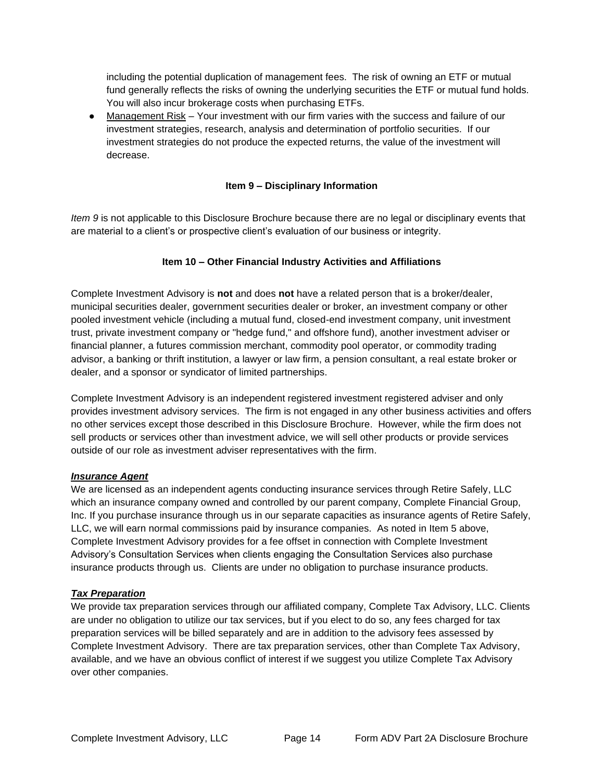including the potential duplication of management fees. The risk of owning an ETF or mutual fund generally reflects the risks of owning the underlying securities the ETF or mutual fund holds. You will also incur brokerage costs when purchasing ETFs.

● Management Risk – Your investment with our firm varies with the success and failure of our investment strategies, research, analysis and determination of portfolio securities. If our investment strategies do not produce the expected returns, the value of the investment will decrease.

### **Item 9 – Disciplinary Information**

<span id="page-13-1"></span><span id="page-13-0"></span>*Item 9* is not applicable to this Disclosure Brochure because there are no legal or disciplinary events that are material to a client's or prospective client's evaluation of our business or integrity.

## **Item 10 – Other Financial Industry Activities and Affiliations**

Complete Investment Advisory is **not** and does **not** have a related person that is a broker/dealer, municipal securities dealer, government securities dealer or broker, an investment company or other pooled investment vehicle (including a mutual fund, closed-end investment company, unit investment trust, private investment company or "hedge fund," and offshore fund), another investment adviser or financial planner, a futures commission merchant, commodity pool operator, or commodity trading advisor, a banking or thrift institution, a lawyer or law firm, a pension consultant, a real estate broker or dealer, and a sponsor or syndicator of limited partnerships.

Complete Investment Advisory is an independent registered investment registered adviser and only provides investment advisory services. The firm is not engaged in any other business activities and offers no other services except those described in this Disclosure Brochure. However, while the firm does not sell products or services other than investment advice, we will sell other products or provide services outside of our role as investment adviser representatives with the firm.

## *Insurance Agent*

We are licensed as an independent agents conducting insurance services through Retire Safely, LLC which an insurance company owned and controlled by our parent company, Complete Financial Group, Inc. If you purchase insurance through us in our separate capacities as insurance agents of Retire Safely, LLC, we will earn normal commissions paid by insurance companies. As noted in Item 5 above, Complete Investment Advisory provides for a fee offset in connection with Complete Investment Advisory's Consultation Services when clients engaging the Consultation Services also purchase insurance products through us. Clients are under no obligation to purchase insurance products.

## *Tax Preparation*

We provide tax preparation services through our affiliated company, Complete Tax Advisory, LLC. Clients are under no obligation to utilize our tax services, but if you elect to do so, any fees charged for tax preparation services will be billed separately and are in addition to the advisory fees assessed by Complete Investment Advisory. There are tax preparation services, other than Complete Tax Advisory, available, and we have an obvious conflict of interest if we suggest you utilize Complete Tax Advisory over other companies.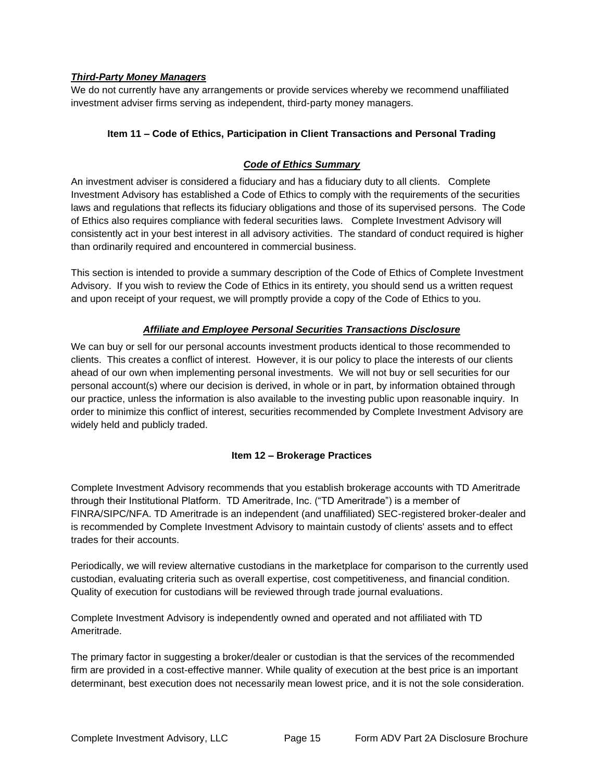## <span id="page-14-0"></span>*Third-Party Money Managers*

<span id="page-14-1"></span>We do not currently have any arrangements or provide services whereby we recommend unaffiliated investment adviser firms serving as independent, third-party money managers.

# **Item 11 – Code of Ethics, Participation in Client Transactions and Personal Trading**

# *Code of Ethics Summary*

<span id="page-14-2"></span>An investment adviser is considered a fiduciary and has a fiduciary duty to all clients. Complete Investment Advisory has established a Code of Ethics to comply with the requirements of the securities laws and regulations that reflects its fiduciary obligations and those of its supervised persons. The Code of Ethics also requires compliance with federal securities laws. Complete Investment Advisory will consistently act in your best interest in all advisory activities. The standard of conduct required is higher than ordinarily required and encountered in commercial business.

This section is intended to provide a summary description of the Code of Ethics of Complete Investment Advisory. If you wish to review the Code of Ethics in its entirety, you should send us a written request and upon receipt of your request, we will promptly provide a copy of the Code of Ethics to you.

# *Affiliate and Employee Personal Securities Transactions Disclosure*

<span id="page-14-3"></span>We can buy or sell for our personal accounts investment products identical to those recommended to clients. This creates a conflict of interest. However, it is our policy to place the interests of our clients ahead of our own when implementing personal investments. We will not buy or sell securities for our personal account(s) where our decision is derived, in whole or in part, by information obtained through our practice, unless the information is also available to the investing public upon reasonable inquiry. In order to minimize this conflict of interest, securities recommended by Complete Investment Advisory are widely held and publicly traded.

## **Item 12 – Brokerage Practices**

<span id="page-14-4"></span>Complete Investment Advisory recommends that you establish brokerage accounts with TD Ameritrade through their Institutional Platform. TD Ameritrade, Inc. ("TD Ameritrade") is a member of FINRA/SIPC/NFA. TD Ameritrade is an independent (and unaffiliated) SEC-registered broker-dealer and is recommended by Complete Investment Advisory to maintain custody of clients' assets and to effect trades for their accounts.

Periodically, we will review alternative custodians in the marketplace for comparison to the currently used custodian, evaluating criteria such as overall expertise, cost competitiveness, and financial condition. Quality of execution for custodians will be reviewed through trade journal evaluations.

Complete Investment Advisory is independently owned and operated and not affiliated with TD Ameritrade.

The primary factor in suggesting a broker/dealer or custodian is that the services of the recommended firm are provided in a cost-effective manner. While quality of execution at the best price is an important determinant, best execution does not necessarily mean lowest price, and it is not the sole consideration.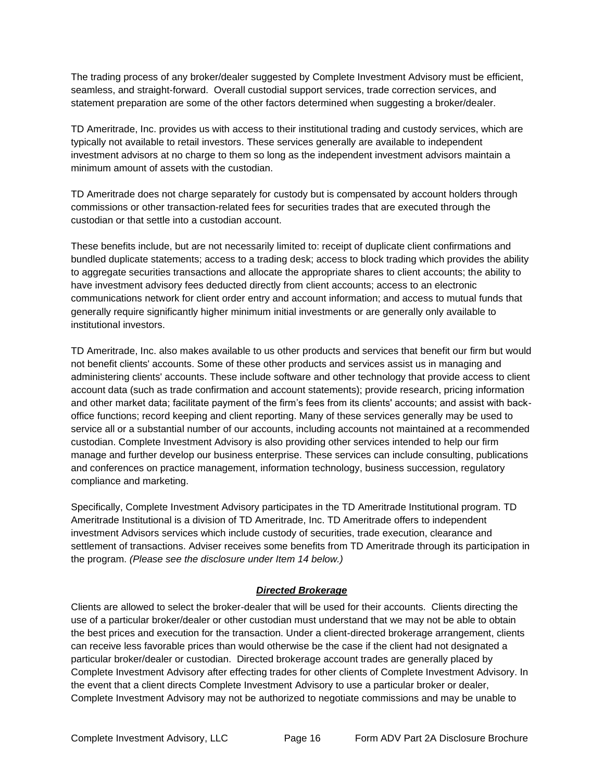The trading process of any broker/dealer suggested by Complete Investment Advisory must be efficient, seamless, and straight-forward. Overall custodial support services, trade correction services, and statement preparation are some of the other factors determined when suggesting a broker/dealer.

TD Ameritrade, Inc. provides us with access to their institutional trading and custody services, which are typically not available to retail investors. These services generally are available to independent investment advisors at no charge to them so long as the independent investment advisors maintain a minimum amount of assets with the custodian.

TD Ameritrade does not charge separately for custody but is compensated by account holders through commissions or other transaction-related fees for securities trades that are executed through the custodian or that settle into a custodian account.

These benefits include, but are not necessarily limited to: receipt of duplicate client confirmations and bundled duplicate statements; access to a trading desk; access to block trading which provides the ability to aggregate securities transactions and allocate the appropriate shares to client accounts; the ability to have investment advisory fees deducted directly from client accounts; access to an electronic communications network for client order entry and account information; and access to mutual funds that generally require significantly higher minimum initial investments or are generally only available to institutional investors.

TD Ameritrade, Inc. also makes available to us other products and services that benefit our firm but would not benefit clients' accounts. Some of these other products and services assist us in managing and administering clients' accounts. These include software and other technology that provide access to client account data (such as trade confirmation and account statements); provide research, pricing information and other market data; facilitate payment of the firm's fees from its clients' accounts; and assist with backoffice functions; record keeping and client reporting. Many of these services generally may be used to service all or a substantial number of our accounts, including accounts not maintained at a recommended custodian. Complete Investment Advisory is also providing other services intended to help our firm manage and further develop our business enterprise. These services can include consulting, publications and conferences on practice management, information technology, business succession, regulatory compliance and marketing.

Specifically, Complete Investment Advisory participates in the TD Ameritrade Institutional program. TD Ameritrade Institutional is a division of TD Ameritrade, Inc. TD Ameritrade offers to independent investment Advisors services which include custody of securities, trade execution, clearance and settlement of transactions. Adviser receives some benefits from TD Ameritrade through its participation in the program. *(Please see the disclosure under Item 14 below.)*

## *Directed Brokerage*

<span id="page-15-0"></span>Clients are allowed to select the broker-dealer that will be used for their accounts. Clients directing the use of a particular broker/dealer or other custodian must understand that we may not be able to obtain the best prices and execution for the transaction. Under a client-directed brokerage arrangement, clients can receive less favorable prices than would otherwise be the case if the client had not designated a particular broker/dealer or custodian. Directed brokerage account trades are generally placed by Complete Investment Advisory after effecting trades for other clients of Complete Investment Advisory. In the event that a client directs Complete Investment Advisory to use a particular broker or dealer, Complete Investment Advisory may not be authorized to negotiate commissions and may be unable to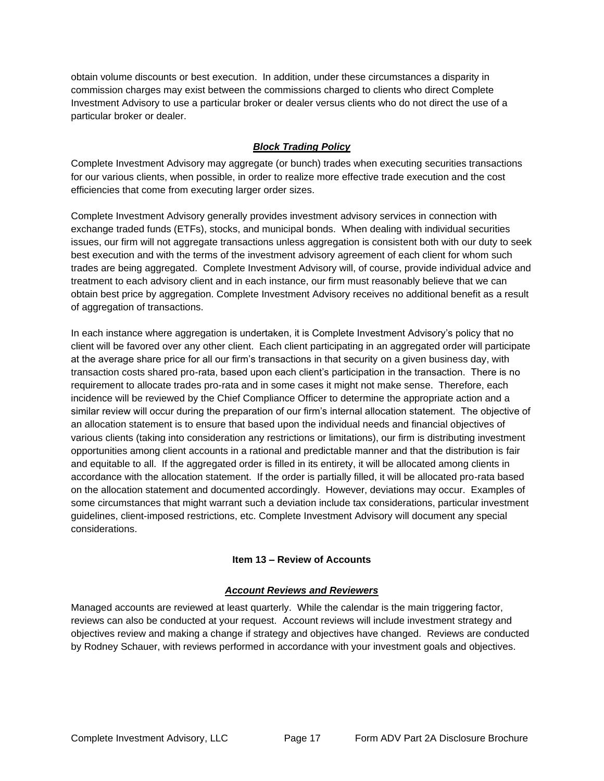obtain volume discounts or best execution. In addition, under these circumstances a disparity in commission charges may exist between the commissions charged to clients who direct Complete Investment Advisory to use a particular broker or dealer versus clients who do not direct the use of a particular broker or dealer.

# *Block Trading Policy*

<span id="page-16-0"></span>Complete Investment Advisory may aggregate (or bunch) trades when executing securities transactions for our various clients, when possible, in order to realize more effective trade execution and the cost efficiencies that come from executing larger order sizes.

Complete Investment Advisory generally provides investment advisory services in connection with exchange traded funds (ETFs), stocks, and municipal bonds. When dealing with individual securities issues, our firm will not aggregate transactions unless aggregation is consistent both with our duty to seek best execution and with the terms of the investment advisory agreement of each client for whom such trades are being aggregated. Complete Investment Advisory will, of course, provide individual advice and treatment to each advisory client and in each instance, our firm must reasonably believe that we can obtain best price by aggregation. Complete Investment Advisory receives no additional benefit as a result of aggregation of transactions.

In each instance where aggregation is undertaken, it is Complete Investment Advisory's policy that no client will be favored over any other client. Each client participating in an aggregated order will participate at the average share price for all our firm's transactions in that security on a given business day, with transaction costs shared pro-rata, based upon each client's participation in the transaction. There is no requirement to allocate trades pro-rata and in some cases it might not make sense. Therefore, each incidence will be reviewed by the Chief Compliance Officer to determine the appropriate action and a similar review will occur during the preparation of our firm's internal allocation statement. The objective of an allocation statement is to ensure that based upon the individual needs and financial objectives of various clients (taking into consideration any restrictions or limitations), our firm is distributing investment opportunities among client accounts in a rational and predictable manner and that the distribution is fair and equitable to all. If the aggregated order is filled in its entirety, it will be allocated among clients in accordance with the allocation statement. If the order is partially filled, it will be allocated pro-rata based on the allocation statement and documented accordingly. However, deviations may occur. Examples of some circumstances that might warrant such a deviation include tax considerations, particular investment guidelines, client-imposed restrictions, etc. Complete Investment Advisory will document any special considerations.

## **Item 13 – Review of Accounts**

## *Account Reviews and Reviewers*

<span id="page-16-2"></span><span id="page-16-1"></span>Managed accounts are reviewed at least quarterly. While the calendar is the main triggering factor, reviews can also be conducted at your request. Account reviews will include investment strategy and objectives review and making a change if strategy and objectives have changed. Reviews are conducted by Rodney Schauer, with reviews performed in accordance with your investment goals and objectives.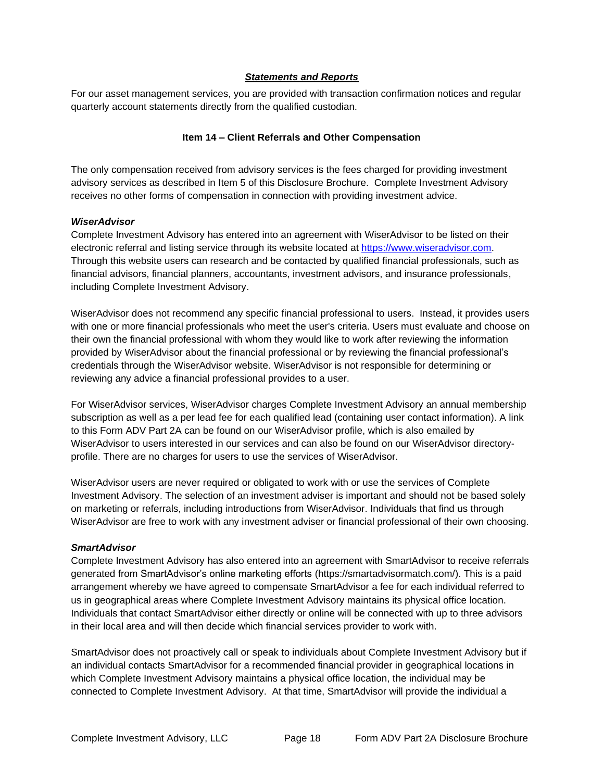#### *Statements and Reports*

<span id="page-17-1"></span><span id="page-17-0"></span>For our asset management services, you are provided with transaction confirmation notices and regular quarterly account statements directly from the qualified custodian.

#### **Item 14 – Client Referrals and Other Compensation**

The only compensation received from advisory services is the fees charged for providing investment advisory services as described in Item 5 of this Disclosure Brochure. Complete Investment Advisory receives no other forms of compensation in connection with providing investment advice.

#### *WiserAdvisor*

Complete Investment Advisory has entered into an agreement with WiserAdvisor to be listed on their electronic referral and listing service through its website located at [https://www.wiseradvisor.com.](https://www.wiseradvisor.com/) Through this website users can research and be contacted by qualified financial professionals, such as financial advisors, financial planners, accountants, investment advisors, and insurance professionals, including Complete Investment Advisory.

WiserAdvisor does not recommend any specific financial professional to users. Instead, it provides users with one or more financial professionals who meet the user's criteria. Users must evaluate and choose on their own the financial professional with whom they would like to work after reviewing the information provided by WiserAdvisor about the financial professional or by reviewing the financial professional's credentials through the WiserAdvisor website. WiserAdvisor is not responsible for determining or reviewing any advice a financial professional provides to a user.

For WiserAdvisor services, WiserAdvisor charges Complete Investment Advisory an annual membership subscription as well as a per lead fee for each qualified lead (containing user contact information). A link to this Form ADV Part 2A can be found on our WiserAdvisor profile, which is also emailed by WiserAdvisor to users interested in our services and can also be found on our WiserAdvisor directoryprofile. There are no charges for users to use the services of WiserAdvisor.

WiserAdvisor users are never required or obligated to work with or use the services of Complete Investment Advisory. The selection of an investment adviser is important and should not be based solely on marketing or referrals, including introductions from WiserAdvisor. Individuals that find us through WiserAdvisor are free to work with any investment adviser or financial professional of their own choosing.

#### *SmartAdvisor*

Complete Investment Advisory has also entered into an agreement with SmartAdvisor to receive referrals generated from SmartAdvisor's online marketing efforts (https://smartadvisormatch.com/). This is a paid arrangement whereby we have agreed to compensate SmartAdvisor a fee for each individual referred to us in geographical areas where Complete Investment Advisory maintains its physical office location. Individuals that contact SmartAdvisor either directly or online will be connected with up to three advisors in their local area and will then decide which financial services provider to work with.

SmartAdvisor does not proactively call or speak to individuals about Complete Investment Advisory but if an individual contacts SmartAdvisor for a recommended financial provider in geographical locations in which Complete Investment Advisory maintains a physical office location, the individual may be connected to Complete Investment Advisory. At that time, SmartAdvisor will provide the individual a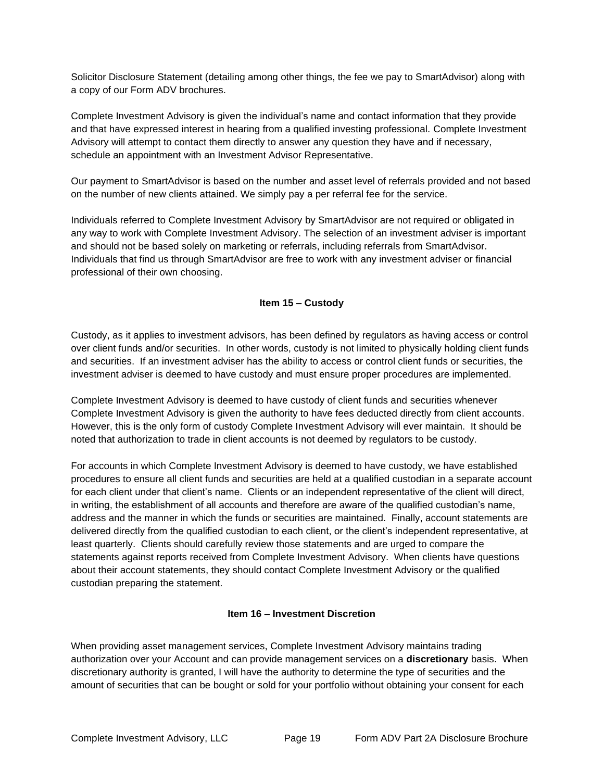Solicitor Disclosure Statement (detailing among other things, the fee we pay to SmartAdvisor) along with a copy of our Form ADV brochures.

Complete Investment Advisory is given the individual's name and contact information that they provide and that have expressed interest in hearing from a qualified investing professional. Complete Investment Advisory will attempt to contact them directly to answer any question they have and if necessary, schedule an appointment with an Investment Advisor Representative.

Our payment to SmartAdvisor is based on the number and asset level of referrals provided and not based on the number of new clients attained. We simply pay a per referral fee for the service.

Individuals referred to Complete Investment Advisory by SmartAdvisor are not required or obligated in any way to work with Complete Investment Advisory. The selection of an investment adviser is important and should not be based solely on marketing or referrals, including referrals from SmartAdvisor. Individuals that find us through SmartAdvisor are free to work with any investment adviser or financial professional of their own choosing.

### **Item 15 – Custody**

<span id="page-18-0"></span>Custody, as it applies to investment advisors, has been defined by regulators as having access or control over client funds and/or securities. In other words, custody is not limited to physically holding client funds and securities. If an investment adviser has the ability to access or control client funds or securities, the investment adviser is deemed to have custody and must ensure proper procedures are implemented.

Complete Investment Advisory is deemed to have custody of client funds and securities whenever Complete Investment Advisory is given the authority to have fees deducted directly from client accounts. However, this is the only form of custody Complete Investment Advisory will ever maintain. It should be noted that authorization to trade in client accounts is not deemed by regulators to be custody.

For accounts in which Complete Investment Advisory is deemed to have custody, we have established procedures to ensure all client funds and securities are held at a qualified custodian in a separate account for each client under that client's name. Clients or an independent representative of the client will direct, in writing, the establishment of all accounts and therefore are aware of the qualified custodian's name, address and the manner in which the funds or securities are maintained. Finally, account statements are delivered directly from the qualified custodian to each client, or the client's independent representative, at least quarterly. Clients should carefully review those statements and are urged to compare the statements against reports received from Complete Investment Advisory. When clients have questions about their account statements, they should contact Complete Investment Advisory or the qualified custodian preparing the statement.

#### **Item 16 – Investment Discretion**

<span id="page-18-1"></span>When providing asset management services, Complete Investment Advisory maintains trading authorization over your Account and can provide management services on a **discretionary** basis. When discretionary authority is granted, I will have the authority to determine the type of securities and the amount of securities that can be bought or sold for your portfolio without obtaining your consent for each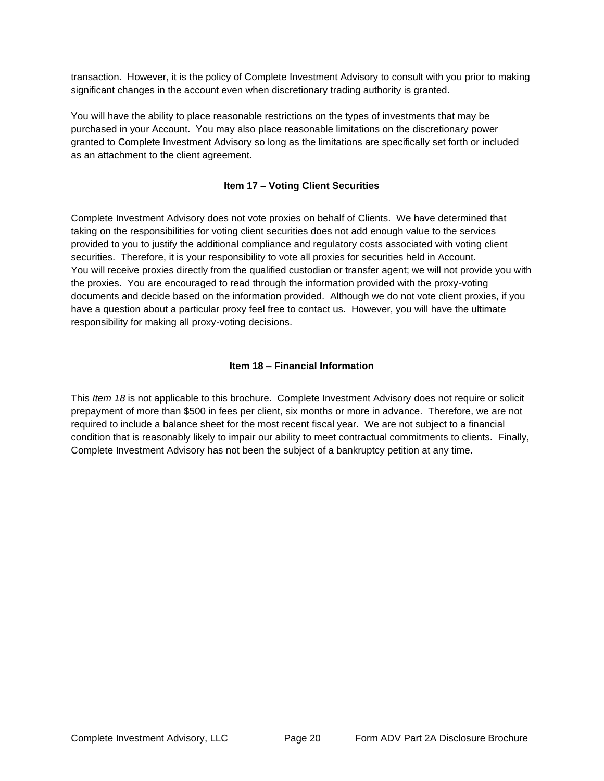transaction. However, it is the policy of Complete Investment Advisory to consult with you prior to making significant changes in the account even when discretionary trading authority is granted.

You will have the ability to place reasonable restrictions on the types of investments that may be purchased in your Account. You may also place reasonable limitations on the discretionary power granted to Complete Investment Advisory so long as the limitations are specifically set forth or included as an attachment to the client agreement.

## **Item 17 – Voting Client Securities**

<span id="page-19-0"></span>Complete Investment Advisory does not vote proxies on behalf of Clients. We have determined that taking on the responsibilities for voting client securities does not add enough value to the services provided to you to justify the additional compliance and regulatory costs associated with voting client securities. Therefore, it is your responsibility to vote all proxies for securities held in Account. You will receive proxies directly from the qualified custodian or transfer agent; we will not provide you with the proxies. You are encouraged to read through the information provided with the proxy-voting documents and decide based on the information provided. Although we do not vote client proxies, if you have a question about a particular proxy feel free to contact us. However, you will have the ultimate responsibility for making all proxy-voting decisions.

# **Item 18 – Financial Information**

<span id="page-19-1"></span>This *Item 18* is not applicable to this brochure. Complete Investment Advisory does not require or solicit prepayment of more than \$500 in fees per client, six months or more in advance. Therefore, we are not required to include a balance sheet for the most recent fiscal year. We are not subject to a financial condition that is reasonably likely to impair our ability to meet contractual commitments to clients. Finally, Complete Investment Advisory has not been the subject of a bankruptcy petition at any time.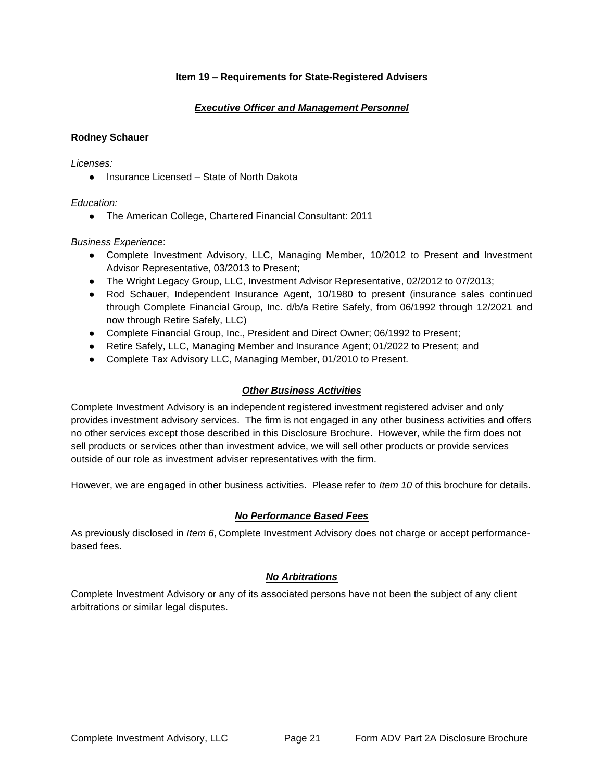### **Item 19 – Requirements for State-Registered Advisers**

### *Executive Officer and Management Personnel*

### <span id="page-20-1"></span><span id="page-20-0"></span>**Rodney Schauer**

*Licenses:*

● Insurance Licensed – State of North Dakota

### *Education:*

● The American College, Chartered Financial Consultant: 2011

### *Business Experience*:

- Complete Investment Advisory, LLC, Managing Member, 10/2012 to Present and Investment Advisor Representative, 03/2013 to Present;
- The Wright Legacy Group, LLC, Investment Advisor Representative, 02/2012 to 07/2013;
- Rod Schauer, Independent Insurance Agent, 10/1980 to present (insurance sales continued through Complete Financial Group, Inc. d/b/a Retire Safely, from 06/1992 through 12/2021 and now through Retire Safely, LLC)
- Complete Financial Group, Inc., President and Direct Owner; 06/1992 to Present;
- Retire Safely, LLC, Managing Member and Insurance Agent; 01/2022 to Present; and
- <span id="page-20-2"></span>● Complete Tax Advisory LLC, Managing Member, 01/2010 to Present.

## *Other Business Activities*

Complete Investment Advisory is an independent registered investment registered adviser and only provides investment advisory services. The firm is not engaged in any other business activities and offers no other services except those described in this Disclosure Brochure. However, while the firm does not sell products or services other than investment advice, we will sell other products or provide services outside of our role as investment adviser representatives with the firm.

<span id="page-20-3"></span>However, we are engaged in other business activities. Please refer to *Item 10* of this brochure for details.

## *No Performance Based Fees*

<span id="page-20-4"></span>As previously disclosed in *Item 6*, Complete Investment Advisory does not charge or accept performancebased fees.

#### *No Arbitrations*

Complete Investment Advisory or any of its associated persons have not been the subject of any client arbitrations or similar legal disputes.